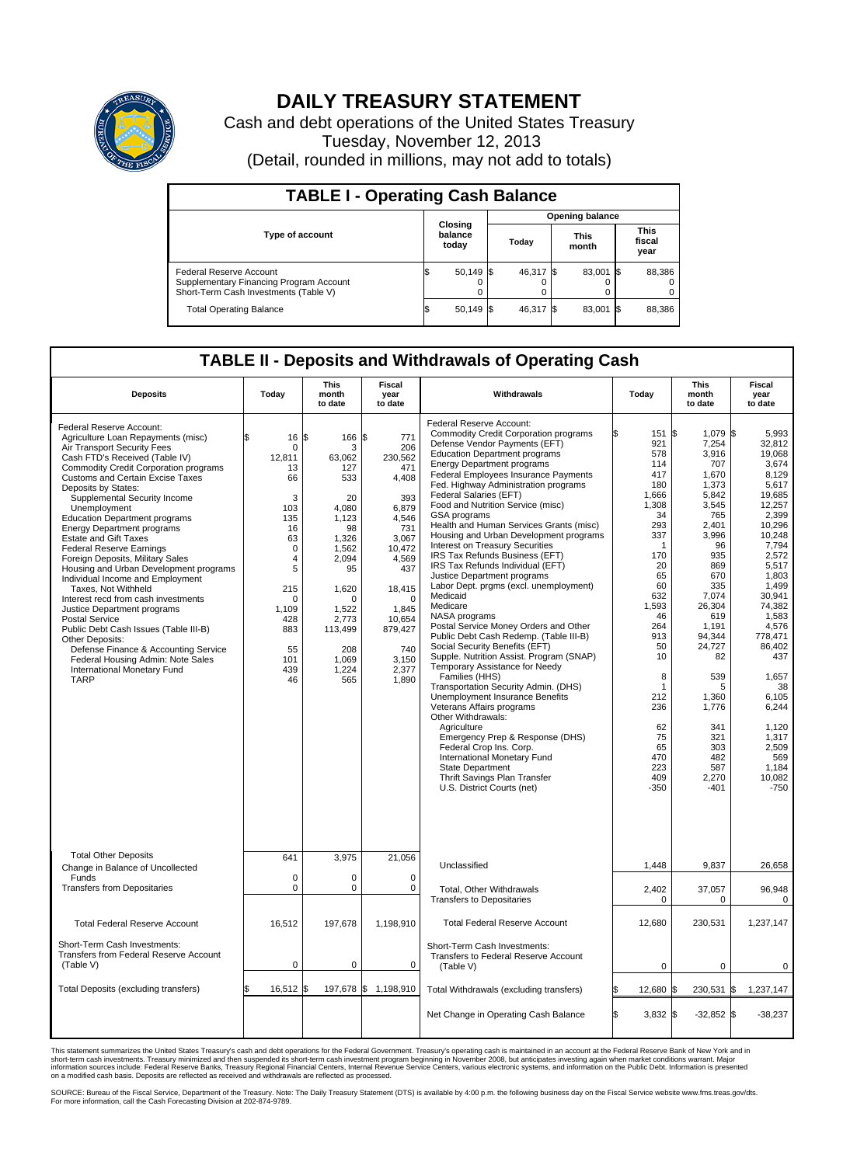

## **DAILY TREASURY STATEMENT**

Cash and debt operations of the United States Treasury Tuesday, November 12, 2013 (Detail, rounded in millions, may not add to totals)

| <b>TABLE I - Operating Cash Balance</b>                                                                     |                                    |                        |  |           |  |                      |      |                               |  |
|-------------------------------------------------------------------------------------------------------------|------------------------------------|------------------------|--|-----------|--|----------------------|------|-------------------------------|--|
|                                                                                                             |                                    | <b>Opening balance</b> |  |           |  |                      |      |                               |  |
| Type of account                                                                                             | <b>Closing</b><br>balance<br>today |                        |  | Today     |  | <b>This</b><br>month |      | <b>This</b><br>fiscal<br>year |  |
| Federal Reserve Account<br>Supplementary Financing Program Account<br>Short-Term Cash Investments (Table V) |                                    | $50,149$ \$            |  | 46.317 \$ |  | 83,001 \$            |      | 88,386                        |  |
| <b>Total Operating Balance</b>                                                                              | ıъ                                 | $50,149$ \$            |  | 46,317 \$ |  | 83,001               | - 15 | 88,386                        |  |

## **TABLE II - Deposits and Withdrawals of Operating Cash**

| <b>Deposits</b>                                                                                                                                                                                                                                                                                                                                                                                                                                                                                                                                                                                                                                                                                                                                                                                                                                                           | Today                                                                                                                                                                        | <b>This</b><br>month<br>to date                                                                                                                                                   | <b>Fiscal</b><br>year<br>to date                                                                                                                                                                      | Withdrawals                                                                                                                                                                                                                                                                                                                                                                                                                                                                                                                                                                                                                                                                                                                                                                                                                                                                                                                                                                                                                                                                                                                                                                                                                                 | Today                                                                                                                                                                                                                                            | <b>This</b><br>month<br>to date                                                                                                                                                                                                                                                     | <b>Fiscal</b><br>year<br>to date                                                                                                                                                                                                                                                                                     |  |  |
|---------------------------------------------------------------------------------------------------------------------------------------------------------------------------------------------------------------------------------------------------------------------------------------------------------------------------------------------------------------------------------------------------------------------------------------------------------------------------------------------------------------------------------------------------------------------------------------------------------------------------------------------------------------------------------------------------------------------------------------------------------------------------------------------------------------------------------------------------------------------------|------------------------------------------------------------------------------------------------------------------------------------------------------------------------------|-----------------------------------------------------------------------------------------------------------------------------------------------------------------------------------|-------------------------------------------------------------------------------------------------------------------------------------------------------------------------------------------------------|---------------------------------------------------------------------------------------------------------------------------------------------------------------------------------------------------------------------------------------------------------------------------------------------------------------------------------------------------------------------------------------------------------------------------------------------------------------------------------------------------------------------------------------------------------------------------------------------------------------------------------------------------------------------------------------------------------------------------------------------------------------------------------------------------------------------------------------------------------------------------------------------------------------------------------------------------------------------------------------------------------------------------------------------------------------------------------------------------------------------------------------------------------------------------------------------------------------------------------------------|--------------------------------------------------------------------------------------------------------------------------------------------------------------------------------------------------------------------------------------------------|-------------------------------------------------------------------------------------------------------------------------------------------------------------------------------------------------------------------------------------------------------------------------------------|----------------------------------------------------------------------------------------------------------------------------------------------------------------------------------------------------------------------------------------------------------------------------------------------------------------------|--|--|
| Federal Reserve Account:<br>Agriculture Loan Repayments (misc)<br>Air Transport Security Fees<br>Cash FTD's Received (Table IV)<br><b>Commodity Credit Corporation programs</b><br>Customs and Certain Excise Taxes<br>Deposits by States:<br>Supplemental Security Income<br>Unemployment<br><b>Education Department programs</b><br><b>Energy Department programs</b><br><b>Estate and Gift Taxes</b><br><b>Federal Reserve Earnings</b><br>Foreign Deposits, Military Sales<br>Housing and Urban Development programs<br>Individual Income and Employment<br>Taxes, Not Withheld<br>Interest recd from cash investments<br>Justice Department programs<br><b>Postal Service</b><br>Public Debt Cash Issues (Table III-B)<br>Other Deposits:<br>Defense Finance & Accounting Service<br>Federal Housing Admin: Note Sales<br>International Monetary Fund<br><b>TARP</b> | 16<br>\$<br>$\mathbf 0$<br>12,811<br>13<br>66<br>3<br>103<br>135<br>16<br>63<br>$\mathbf 0$<br>4<br>5<br>215<br>$\mathbf 0$<br>1.109<br>428<br>883<br>55<br>101<br>439<br>46 | 1\$<br>166<br>3<br>63,062<br>127<br>533<br>20<br>4,080<br>1.123<br>98<br>1,326<br>1.562<br>2,094<br>95<br>1,620<br>n<br>1.522<br>2,773<br>113,499<br>208<br>1,069<br>1,224<br>565 | l\$<br>771<br>206<br>230,562<br>471<br>4,408<br>393<br>6,879<br>4.546<br>731<br>3,067<br>10.472<br>4,569<br>437<br>18,415<br>$\Omega$<br>1.845<br>10,654<br>879,427<br>740<br>3,150<br>2,377<br>1,890 | Federal Reserve Account:<br><b>Commodity Credit Corporation programs</b><br>Defense Vendor Payments (EFT)<br><b>Education Department programs</b><br><b>Energy Department programs</b><br>Federal Employees Insurance Payments<br>Fed. Highway Administration programs<br>Federal Salaries (EFT)<br>Food and Nutrition Service (misc)<br><b>GSA</b> programs<br>Health and Human Services Grants (misc)<br>Housing and Urban Development programs<br>Interest on Treasury Securities<br>IRS Tax Refunds Business (EFT)<br>IRS Tax Refunds Individual (EFT)<br>Justice Department programs<br>Labor Dept. prgms (excl. unemployment)<br>Medicaid<br>Medicare<br>NASA programs<br>Postal Service Money Orders and Other<br>Public Debt Cash Redemp. (Table III-B)<br>Social Security Benefits (EFT)<br>Supple. Nutrition Assist. Program (SNAP)<br>Temporary Assistance for Needy<br>Families (HHS)<br>Transportation Security Admin. (DHS)<br><b>Unemployment Insurance Benefits</b><br>Veterans Affairs programs<br>Other Withdrawals:<br>Agriculture<br>Emergency Prep & Response (DHS)<br>Federal Crop Ins. Corp.<br>International Monetary Fund<br><b>State Department</b><br>Thrift Savings Plan Transfer<br>U.S. District Courts (net) | 151 \$<br>921<br>578<br>114<br>417<br>180<br>1.666<br>1,308<br>34<br>293<br>337<br>$\mathbf 1$<br>170<br>20<br>65<br>60<br>632<br>1,593<br>46<br>264<br>913<br>50<br>10<br>8<br>1<br>212<br>236<br>62<br>75<br>65<br>470<br>223<br>409<br>$-350$ | $1,079$ \$<br>7,254<br>3,916<br>707<br>1,670<br>1,373<br>5,842<br>3,545<br>765<br>2,401<br>3,996<br>96<br>935<br>869<br>670<br>335<br>7,074<br>26,304<br>619<br>1,191<br>94,344<br>24,727<br>82<br>539<br>5<br>1,360<br>1,776<br>341<br>321<br>303<br>482<br>587<br>2,270<br>$-401$ | 5,993<br>32,812<br>19.068<br>3.674<br>8,129<br>5.617<br>19.685<br>12,257<br>2,399<br>10.296<br>10,248<br>7,794<br>2.572<br>5,517<br>1.803<br>1,499<br>30.941<br>74,382<br>1.583<br>4,576<br>778,471<br>86,402<br>437<br>1,657<br>38<br>6,105<br>6,244<br>1,120<br>1,317<br>2,509<br>569<br>1,184<br>10.082<br>$-750$ |  |  |
| <b>Total Other Deposits</b>                                                                                                                                                                                                                                                                                                                                                                                                                                                                                                                                                                                                                                                                                                                                                                                                                                               | 641                                                                                                                                                                          | 3,975                                                                                                                                                                             | 21,056                                                                                                                                                                                                |                                                                                                                                                                                                                                                                                                                                                                                                                                                                                                                                                                                                                                                                                                                                                                                                                                                                                                                                                                                                                                                                                                                                                                                                                                             |                                                                                                                                                                                                                                                  |                                                                                                                                                                                                                                                                                     |                                                                                                                                                                                                                                                                                                                      |  |  |
| Change in Balance of Uncollected<br>Funds                                                                                                                                                                                                                                                                                                                                                                                                                                                                                                                                                                                                                                                                                                                                                                                                                                 | $\mathbf 0$                                                                                                                                                                  | 0                                                                                                                                                                                 | $\mathbf 0$                                                                                                                                                                                           | Unclassified                                                                                                                                                                                                                                                                                                                                                                                                                                                                                                                                                                                                                                                                                                                                                                                                                                                                                                                                                                                                                                                                                                                                                                                                                                | 1,448                                                                                                                                                                                                                                            | 9,837                                                                                                                                                                                                                                                                               | 26,658                                                                                                                                                                                                                                                                                                               |  |  |
| <b>Transfers from Depositaries</b>                                                                                                                                                                                                                                                                                                                                                                                                                                                                                                                                                                                                                                                                                                                                                                                                                                        | $\mathbf 0$                                                                                                                                                                  | 0                                                                                                                                                                                 | 0                                                                                                                                                                                                     | Total, Other Withdrawals<br><b>Transfers to Depositaries</b>                                                                                                                                                                                                                                                                                                                                                                                                                                                                                                                                                                                                                                                                                                                                                                                                                                                                                                                                                                                                                                                                                                                                                                                | 2,402<br>$\mathbf 0$                                                                                                                                                                                                                             | 37,057<br>$\mathbf 0$                                                                                                                                                                                                                                                               | 96,948<br>$\mathbf 0$                                                                                                                                                                                                                                                                                                |  |  |
| <b>Total Federal Reserve Account</b>                                                                                                                                                                                                                                                                                                                                                                                                                                                                                                                                                                                                                                                                                                                                                                                                                                      | 16,512                                                                                                                                                                       | 197,678                                                                                                                                                                           | 1,198,910                                                                                                                                                                                             | <b>Total Federal Reserve Account</b>                                                                                                                                                                                                                                                                                                                                                                                                                                                                                                                                                                                                                                                                                                                                                                                                                                                                                                                                                                                                                                                                                                                                                                                                        | 12,680                                                                                                                                                                                                                                           | 230,531                                                                                                                                                                                                                                                                             | 1,237,147                                                                                                                                                                                                                                                                                                            |  |  |
| Short-Term Cash Investments:<br><b>Transfers from Federal Reserve Account</b><br>(Table V)                                                                                                                                                                                                                                                                                                                                                                                                                                                                                                                                                                                                                                                                                                                                                                                | $\pmb{0}$                                                                                                                                                                    | 0                                                                                                                                                                                 | 0                                                                                                                                                                                                     | Short-Term Cash Investments:<br>Transfers to Federal Reserve Account<br>(Table V)                                                                                                                                                                                                                                                                                                                                                                                                                                                                                                                                                                                                                                                                                                                                                                                                                                                                                                                                                                                                                                                                                                                                                           | $\mathbf 0$                                                                                                                                                                                                                                      | $\mathbf 0$                                                                                                                                                                                                                                                                         | 0                                                                                                                                                                                                                                                                                                                    |  |  |
| Total Deposits (excluding transfers)                                                                                                                                                                                                                                                                                                                                                                                                                                                                                                                                                                                                                                                                                                                                                                                                                                      | 16,512                                                                                                                                                                       | 197,678 \$<br>l\$                                                                                                                                                                 | 1,198,910                                                                                                                                                                                             | Total Withdrawals (excluding transfers)                                                                                                                                                                                                                                                                                                                                                                                                                                                                                                                                                                                                                                                                                                                                                                                                                                                                                                                                                                                                                                                                                                                                                                                                     | 12,680 \$                                                                                                                                                                                                                                        | 230,531 \$                                                                                                                                                                                                                                                                          | 1,237,147                                                                                                                                                                                                                                                                                                            |  |  |
|                                                                                                                                                                                                                                                                                                                                                                                                                                                                                                                                                                                                                                                                                                                                                                                                                                                                           |                                                                                                                                                                              |                                                                                                                                                                                   |                                                                                                                                                                                                       | Net Change in Operating Cash Balance                                                                                                                                                                                                                                                                                                                                                                                                                                                                                                                                                                                                                                                                                                                                                                                                                                                                                                                                                                                                                                                                                                                                                                                                        | l\$<br>$3,832$ \$                                                                                                                                                                                                                                | $-32,852$ \$                                                                                                                                                                                                                                                                        | $-38,237$                                                                                                                                                                                                                                                                                                            |  |  |

This statement summarizes the United States Treasury's cash and debt operations for the Federal Government. Treasury's operating cash is maintained in an account at the Federal Reserve Bank of New York and in<br>short-term ca

SOURCE: Bureau of the Fiscal Service, Department of the Treasury. Note: The Daily Treasury Statement (DTS) is available by 4:00 p.m. the following business day on the Fiscal Service website www.fms.treas.gov/dts.<br>For more